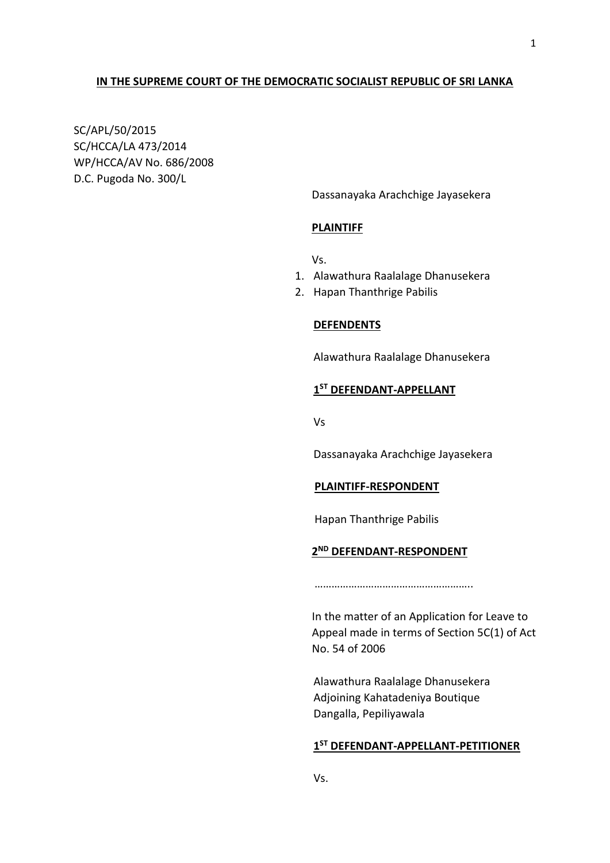#### **IN THE SUPREME COURT OF THE DEMOCRATIC SOCIALIST REPUBLIC OF SRI LANKA**

SC/APL/50/2015 SC/HCCA/LA 473/2014 WP/HCCA/AV No. 686/2008 D.C. Pugoda No. 300/L

Dassanayaka Arachchige Jayasekera

#### **PLAINTIFF**

Vs.

- 1. Alawathura Raalalage Dhanusekera
- 2. Hapan Thanthrige Pabilis

#### **DEFENDENTS**

Alawathura Raalalage Dhanusekera

# **1 ST DEFENDANT-APPELLANT**

Vs

Dassanayaka Arachchige Jayasekera

#### **PLAINTIFF-RESPONDENT**

Hapan Thanthrige Pabilis

# **2 ND DEFENDANT-RESPONDENT**

………………………………………………

In the matter of an Application for Leave to Appeal made in terms of Section 5C(1) of Act No. 54 of 2006

Alawathura Raalalage Dhanusekera Adjoining Kahatadeniya Boutique Dangalla, Pepiliyawala

# **1 ST DEFENDANT-APPELLANT-PETITIONER**

Vs.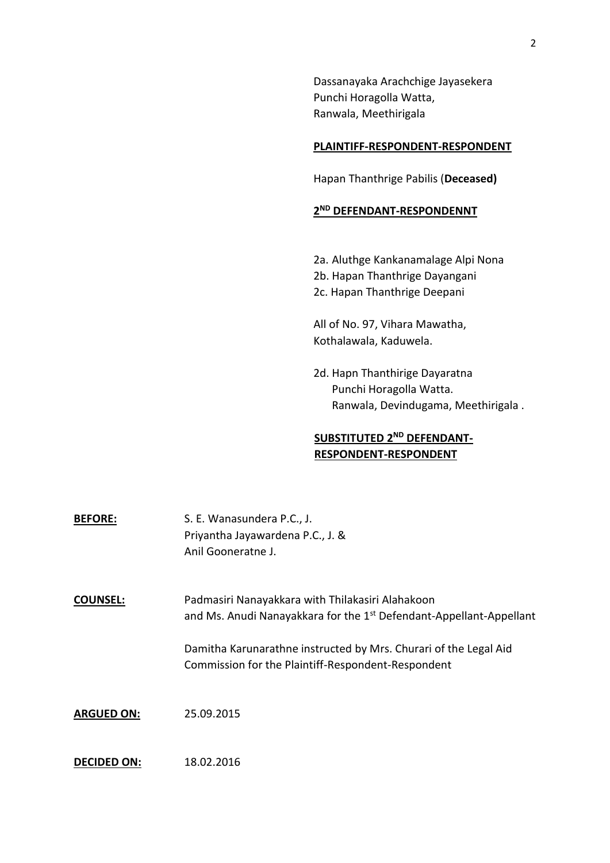Dassanayaka Arachchige Jayasekera Punchi Horagolla Watta, Ranwala, Meethirigala

### **PLAINTIFF-RESPONDENT-RESPONDENT**

Hapan Thanthrige Pabilis (**Deceased)**

# **2 ND DEFENDANT-RESPONDENNT**

- 2a. Aluthge Kankanamalage Alpi Nona
- 2b. Hapan Thanthrige Dayangani
- 2c. Hapan Thanthrige Deepani

All of No. 97, Vihara Mawatha, Kothalawala, Kaduwela.

2d. Hapn Thanthirige Dayaratna Punchi Horagolla Watta. Ranwala, Devindugama, Meethirigala .

# **SUBSTITUTED 2ND DEFENDANT-RESPONDENT-RESPONDENT**

| <b>BEFORE:</b>     | S. E. Wanasundera P.C., J.<br>Priyantha Jayawardena P.C., J. &<br>Anil Gooneratne J.                                                |
|--------------------|-------------------------------------------------------------------------------------------------------------------------------------|
| <b>COUNSEL:</b>    | Padmasiri Nanayakkara with Thilakasiri Alahakoon<br>and Ms. Anudi Nanayakkara for the 1 <sup>st</sup> Defendant-Appellant-Appellant |
|                    | Damitha Karunarathne instructed by Mrs. Churari of the Legal Aid<br>Commission for the Plaintiff-Respondent-Respondent              |
| <b>ARGUED ON:</b>  | 25.09.2015                                                                                                                          |
| <b>DECIDED ON:</b> | 18.02.2016                                                                                                                          |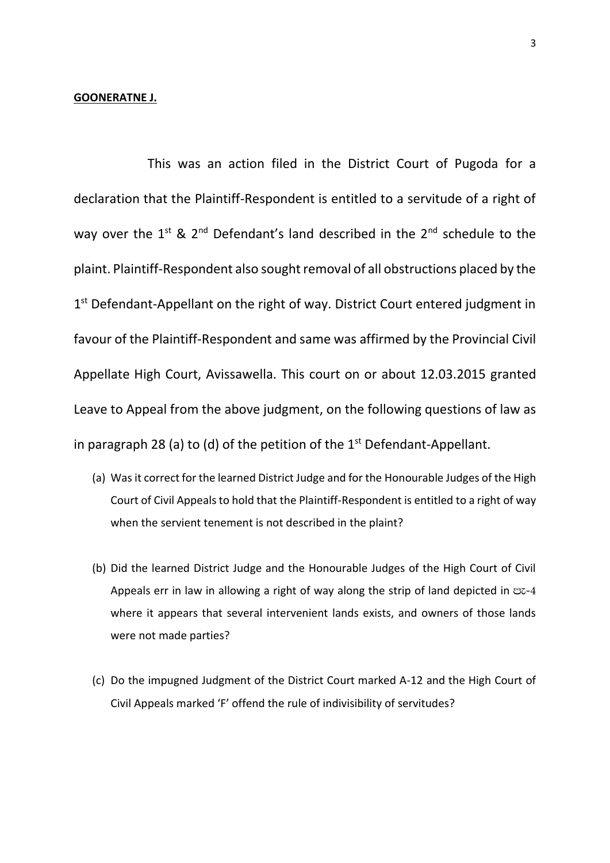#### **GOONERATNE J.**

This was an action filed in the District Court of Pugoda for a declaration that the Plaintiff-Respondent is entitled to a servitude of a right of way over the  $1^{st}$  &  $2^{nd}$  Defendant's land described in the  $2^{nd}$  schedule to the plaint. Plaintiff-Respondent also sought removal of all obstructions placed by the 1<sup>st</sup> Defendant-Appellant on the right of way. District Court entered judgment in favour of the Plaintiff-Respondent and same was affirmed by the Provincial Civil Appellate High Court, Avissawella. This court on or about 12.03.2015 granted Leave to Appeal from the above judgment, on the following questions of law as in paragraph 28 (a) to (d) of the petition of the  $1<sup>st</sup>$  Defendant-Appellant.

- (a) Was it correct for the learned District Judge and for the Honourable Judges of the High Court of Civil Appeals to hold that the Plaintiff-Respondent is entitled to a right of way when the servient tenement is not described in the plaint?
- (b) Did the learned District Judge and the Honourable Judges of the High Court of Civil Appeals err in law in allowing a right of way along the strip of land depicted in  $\infty$ -4 where it appears that several intervenient lands exists, and owners of those lands were not made parties?
- (c) Do the impugned Judgment of the District Court marked A-12 and the High Court of Civil Appeals marked 'F' offend the rule of indivisibility of servitudes?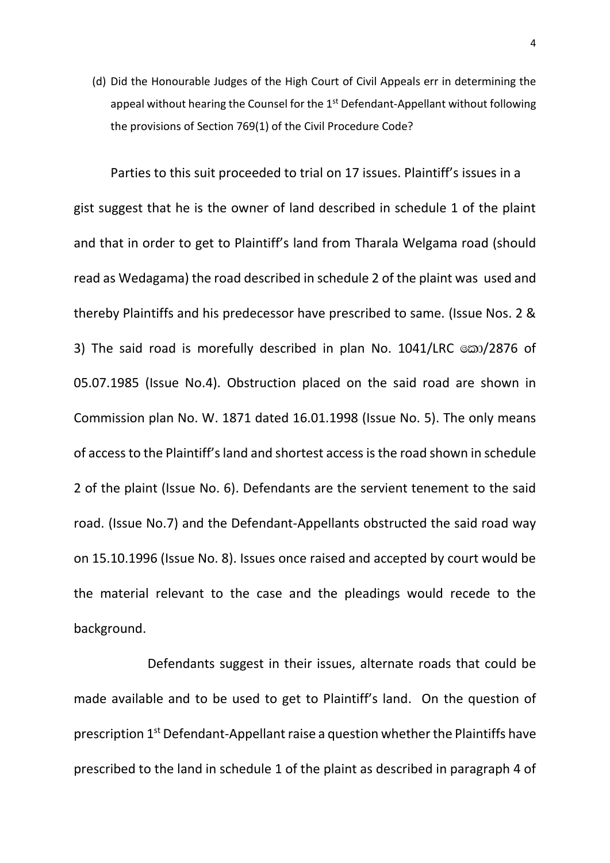(d) Did the Honourable Judges of the High Court of Civil Appeals err in determining the appeal without hearing the Counsel for the 1<sup>st</sup> Defendant-Appellant without following the provisions of Section 769(1) of the Civil Procedure Code?

Parties to this suit proceeded to trial on 17 issues. Plaintiff's issues in a gist suggest that he is the owner of land described in schedule 1 of the plaint and that in order to get to Plaintiff's land from Tharala Welgama road (should read as Wedagama) the road described in schedule 2 of the plaint was used and thereby Plaintiffs and his predecessor have prescribed to same. (Issue Nos. 2 & 3) The said road is morefully described in plan No. 1041/LRC  $\infty/2876$  of 05.07.1985 (Issue No.4). Obstruction placed on the said road are shown in Commission plan No. W. 1871 dated 16.01.1998 (Issue No. 5). The only means of access to the Plaintiff's land and shortest accessis the road shown in schedule 2 of the plaint (Issue No. 6). Defendants are the servient tenement to the said road. (Issue No.7) and the Defendant-Appellants obstructed the said road way on 15.10.1996 (Issue No. 8). Issues once raised and accepted by court would be the material relevant to the case and the pleadings would recede to the background.

Defendants suggest in their issues, alternate roads that could be made available and to be used to get to Plaintiff's land. On the question of prescription  $1<sup>st</sup>$  Defendant-Appellant raise a question whether the Plaintiffs have prescribed to the land in schedule 1 of the plaint as described in paragraph 4 of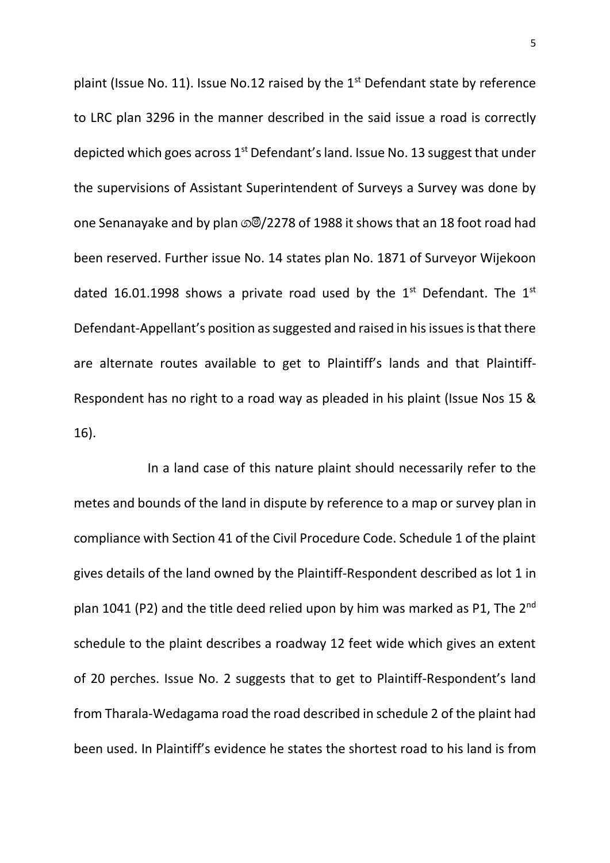plaint (Issue No. 11). Issue No.12 raised by the  $1<sup>st</sup>$  Defendant state by reference to LRC plan 3296 in the manner described in the said issue a road is correctly depicted which goes across 1<sup>st</sup> Defendant's land. Issue No. 13 suggest that under the supervisions of Assistant Superintendent of Surveys a Survey was done by one Senanayake and by plan  $\mathcal{O}(2278)$  of 1988 it shows that an 18 foot road had been reserved. Further issue No. 14 states plan No. 1871 of Surveyor Wijekoon dated 16.01.1998 shows a private road used by the  $1<sup>st</sup>$  Defendant. The  $1<sup>st</sup>$ Defendant-Appellant's position as suggested and raised in his issues is that there are alternate routes available to get to Plaintiff's lands and that Plaintiff-Respondent has no right to a road way as pleaded in his plaint (Issue Nos 15 & 16).

In a land case of this nature plaint should necessarily refer to the metes and bounds of the land in dispute by reference to a map or survey plan in compliance with Section 41 of the Civil Procedure Code. Schedule 1 of the plaint gives details of the land owned by the Plaintiff-Respondent described as lot 1 in plan 1041 (P2) and the title deed relied upon by him was marked as P1, The 2<sup>nd</sup> schedule to the plaint describes a roadway 12 feet wide which gives an extent of 20 perches. Issue No. 2 suggests that to get to Plaintiff-Respondent's land from Tharala-Wedagama road the road described in schedule 2 of the plaint had been used. In Plaintiff's evidence he states the shortest road to his land is from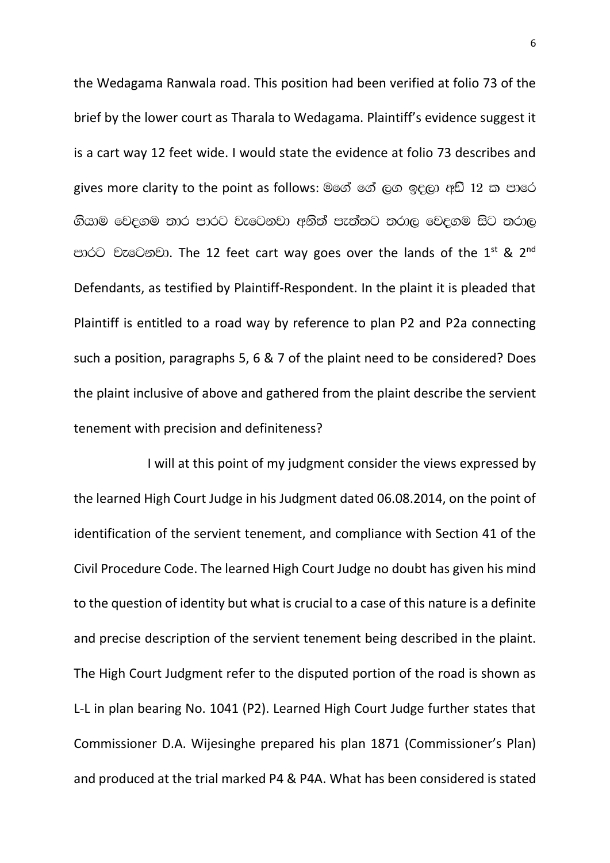the Wedagama Ranwala road. This position had been verified at folio 73 of the brief by the lower court as Tharala to Wedagama. Plaintiff's evidence suggest it is a cart way 12 feet wide. I would state the evidence at folio 73 describes and gives more clarity to the point as follows: මගේ ගේ ලග ඉදලා අඩි 12 ක පාරෙ ගියාම වෙදගම තාර පාරට වැටෙනවා අනිත් පැත්තට තරාල වෙදගම සිට තරාල පාරට වැටෙනවා. The 12 feet cart way goes over the lands of the 1<sup>st</sup> & 2<sup>nd</sup> Defendants, as testified by Plaintiff-Respondent. In the plaint it is pleaded that Plaintiff is entitled to a road way by reference to plan P2 and P2a connecting such a position, paragraphs 5, 6 & 7 of the plaint need to be considered? Does the plaint inclusive of above and gathered from the plaint describe the servient tenement with precision and definiteness?

I will at this point of my judgment consider the views expressed by the learned High Court Judge in his Judgment dated 06.08.2014, on the point of identification of the servient tenement, and compliance with Section 41 of the Civil Procedure Code. The learned High Court Judge no doubt has given his mind to the question of identity but what is crucial to a case of this nature is a definite and precise description of the servient tenement being described in the plaint. The High Court Judgment refer to the disputed portion of the road is shown as L-L in plan bearing No. 1041 (P2). Learned High Court Judge further states that Commissioner D.A. Wijesinghe prepared his plan 1871 (Commissioner's Plan) and produced at the trial marked P4 & P4A. What has been considered is stated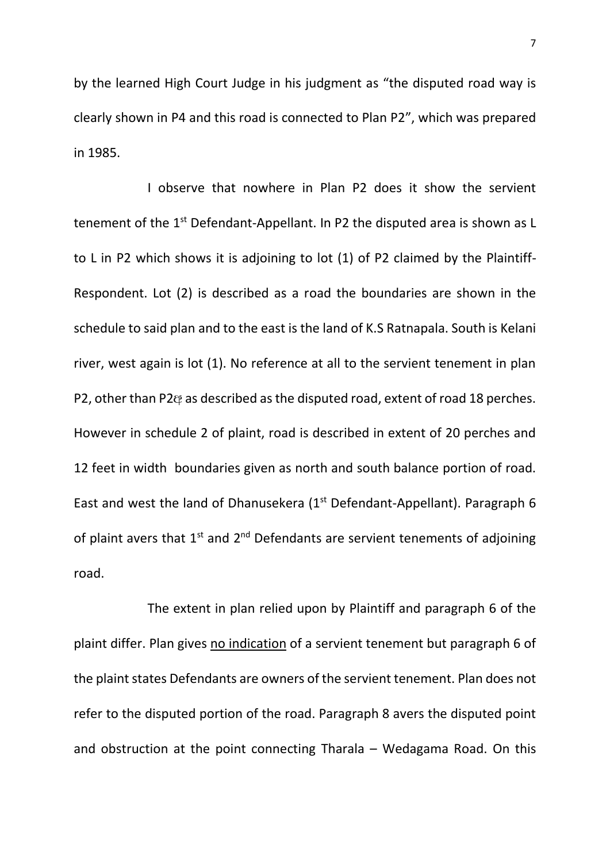by the learned High Court Judge in his judgment as "the disputed road way is clearly shown in P4 and this road is connected to Plan P2", which was prepared in 1985.

I observe that nowhere in Plan P2 does it show the servient tenement of the 1<sup>st</sup> Defendant-Appellant. In P2 the disputed area is shown as L to L in P2 which shows it is adjoining to lot (1) of P2 claimed by the Plaintiff-Respondent. Lot (2) is described as a road the boundaries are shown in the schedule to said plan and to the east is the land of K.S Ratnapala. South is Kelani river, west again is lot (1). No reference at all to the servient tenement in plan P2, other than P2& as described as the disputed road, extent of road 18 perches. However in schedule 2 of plaint, road is described in extent of 20 perches and 12 feet in width boundaries given as north and south balance portion of road. East and west the land of Dhanusekera ( $1<sup>st</sup>$  Defendant-Appellant). Paragraph 6 of plaint avers that  $1^{st}$  and  $2^{nd}$  Defendants are servient tenements of adjoining road.

The extent in plan relied upon by Plaintiff and paragraph 6 of the plaint differ. Plan gives no indication of a servient tenement but paragraph 6 of the plaint states Defendants are owners of the servient tenement. Plan does not refer to the disputed portion of the road. Paragraph 8 avers the disputed point and obstruction at the point connecting Tharala – Wedagama Road. On this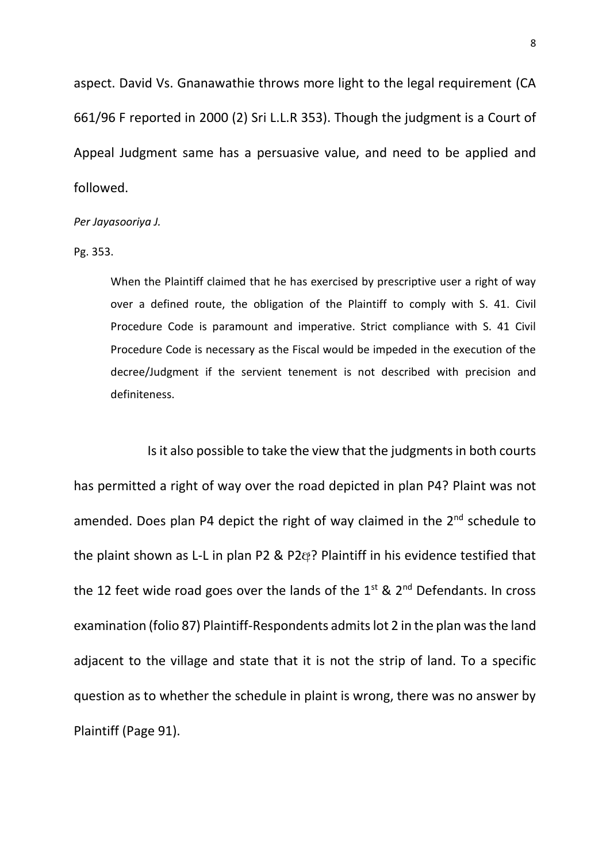aspect. David Vs. Gnanawathie throws more light to the legal requirement (CA 661/96 F reported in 2000 (2) Sri L.L.R 353). Though the judgment is a Court of Appeal Judgment same has a persuasive value, and need to be applied and followed.

#### *Per Jayasooriya J.*

Pg. 353.

When the Plaintiff claimed that he has exercised by prescriptive user a right of way over a defined route, the obligation of the Plaintiff to comply with S. 41. Civil Procedure Code is paramount and imperative. Strict compliance with S. 41 Civil Procedure Code is necessary as the Fiscal would be impeded in the execution of the decree/Judgment if the servient tenement is not described with precision and definiteness.

Is it also possible to take the view that the judgmentsin both courts has permitted a right of way over the road depicted in plan P4? Plaint was not amended. Does plan P4 depict the right of way claimed in the 2<sup>nd</sup> schedule to the plaint shown as L-L in plan P2 & P2@? Plaintiff in his evidence testified that the 12 feet wide road goes over the lands of the  $1<sup>st</sup>$  &  $2<sup>nd</sup>$  Defendants. In cross examination (folio 87) Plaintiff-Respondents admits lot 2 in the plan was the land adjacent to the village and state that it is not the strip of land. To a specific question as to whether the schedule in plaint is wrong, there was no answer by Plaintiff (Page 91).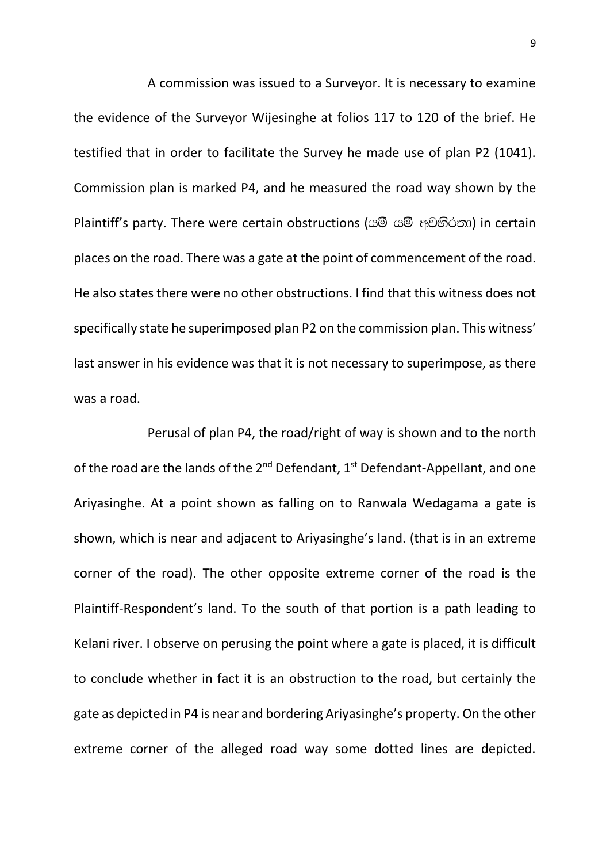A commission was issued to a Surveyor. It is necessary to examine the evidence of the Surveyor Wijesinghe at folios 117 to 120 of the brief. He testified that in order to facilitate the Survey he made use of plan P2 (1041). Commission plan is marked P4, and he measured the road way shown by the Plaintif's party. There were certain obstructions (යමී යමී අවහිරතා) in certain places on the road. There was a gate at the point of commencement of the road. He also states there were no other obstructions. I find that this witness does not specifically state he superimposed plan P2 on the commission plan. This witness' last answer in his evidence was that it is not necessary to superimpose, as there was a road.

Perusal of plan P4, the road/right of way is shown and to the north of the road are the lands of the  $2^{nd}$  Defendant,  $1^{st}$  Defendant-Appellant, and one Ariyasinghe. At a point shown as falling on to Ranwala Wedagama a gate is shown, which is near and adjacent to Ariyasinghe's land. (that is in an extreme corner of the road). The other opposite extreme corner of the road is the Plaintiff-Respondent's land. To the south of that portion is a path leading to Kelani river. I observe on perusing the point where a gate is placed, it is difficult to conclude whether in fact it is an obstruction to the road, but certainly the gate as depicted in P4 is near and bordering Ariyasinghe's property. On the other extreme corner of the alleged road way some dotted lines are depicted.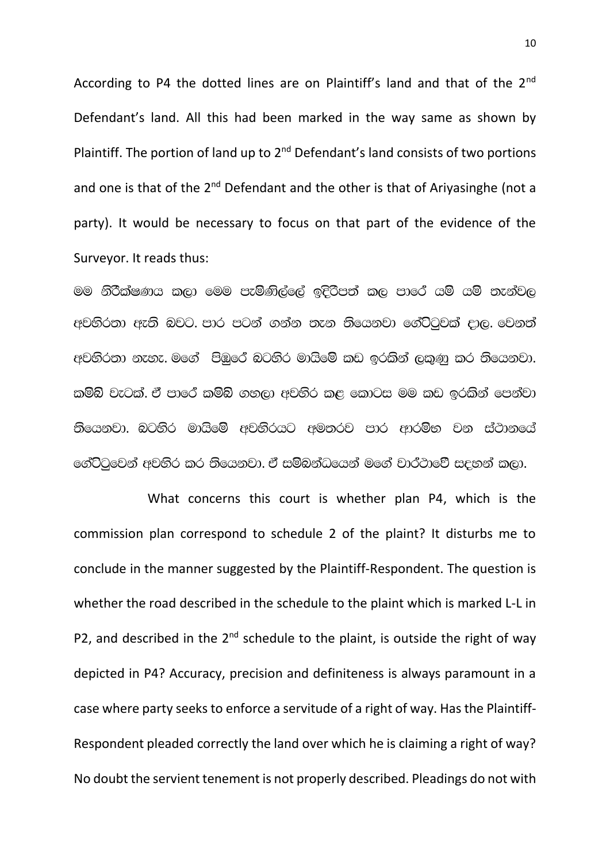According to P4 the dotted lines are on Plaintiff's land and that of the  $2^{nd}$ Defendant's land. All this had been marked in the way same as shown by Plaintiff. The portion of land up to 2<sup>nd</sup> Defendant's land consists of two portions and one is that of the  $2^{nd}$  Defendant and the other is that of Ariyasinghe (not a party). It would be necessary to focus on that part of the evidence of the Surveyor. It reads thus:

මම නිරීක්ෂණය කලා මෙම පැමිණිල්ලේ ඉදිරිපත් කල පාරේ යම් යම් තැන්වල අවහිරතා ඇති බවට. පාර පටන් ගන්න තැන තියෙනවා ගේට්ටුවක් දාල. වෙනත් අවහිරතා නැහැ. මගේ පිඹුරේ බටහිර මායිමේ කඩ ඉරකින් ලකුණු කර තියෙනවා. කම්බි වැටක්. ඒ පාරේ කම්බි ගහලා අවහිර කළ කොටස මම කඩ ඉරකින් පෙන්වා  $5$ යෙනවා. බටහිර මායිමේ අවහිරයට අමතරව පාර ආරම්භ වන ස්ථානයේ ගේට්ටුවෙන් අවහිර කර තියෙනවා. ඒ සම්බන්ධයෙන් මගේ වාර්ථාවේ සදහන් කලා.

What concerns this court is whether plan P4, which is the commission plan correspond to schedule 2 of the plaint? It disturbs me to conclude in the manner suggested by the Plaintiff-Respondent. The question is whether the road described in the schedule to the plaint which is marked L-L in P2, and described in the  $2^{nd}$  schedule to the plaint, is outside the right of way depicted in P4? Accuracy, precision and definiteness is always paramount in a case where party seeks to enforce a servitude of a right of way. Has the Plaintiff-Respondent pleaded correctly the land over which he is claiming a right of way? No doubt the servient tenement is not properly described. Pleadings do not with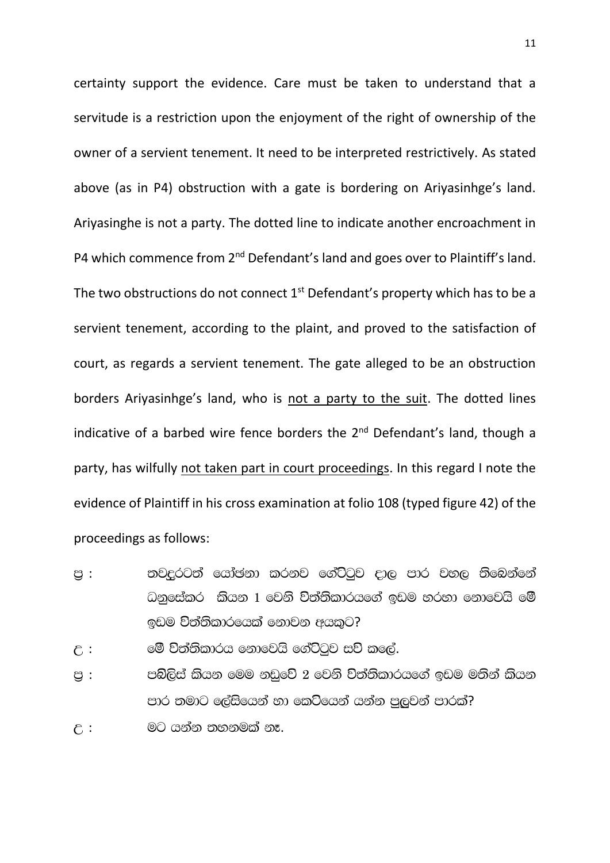certainty support the evidence. Care must be taken to understand that a servitude is a restriction upon the enjoyment of the right of ownership of the owner of a servient tenement. It need to be interpreted restrictively. As stated above (as in P4) obstruction with a gate is bordering on Ariyasinhge's land. Ariyasinghe is not a party. The dotted line to indicate another encroachment in P4 which commence from 2<sup>nd</sup> Defendant's land and goes over to Plaintiff's land. The two obstructions do not connect  $1<sup>st</sup>$  Defendant's property which has to be a servient tenement, according to the plaint, and proved to the satisfaction of court, as regards a servient tenement. The gate alleged to be an obstruction borders Ariyasinhge's land, who is not a party to the suit. The dotted lines indicative of a barbed wire fence borders the 2<sup>nd</sup> Defendant's land, though a party, has wilfully not taken part in court proceedings. In this regard I note the evidence of Plaintiff in his cross examination at folio 108 (typed figure 42) of the proceedings as follows:

- පු : තවදුරටත් යෝඡනා කරනව ගේට්ටුව දාල පාර වහල තිබෙන්නේ ධනුසේකර කියන 1 වෙනි <mark>විත්ති</mark>කාරයගේ ඉඩම හරහා නොවෙයි මේ ඉඩම විත්තිකාරයෙක් නොවන අයකට?
- $\epsilon$  :  $\qquad$  මේ විත්තිකාරය නොවෙයි ගේට්ටුව සව් කලේ.
- පු : පබ්ලිස් කියන මෙම නඩුවේ 2 වෙනි විත්තිකාරයගේ ඉඩම මතින් කියන පාර තමාට ලේසියෙන් හා කෙටියෙන් යන්න පුලුවන් පාරක්?
- $\varepsilon$  :  $\qquad \qquad$  මට යන්න තහනමක් නෑ.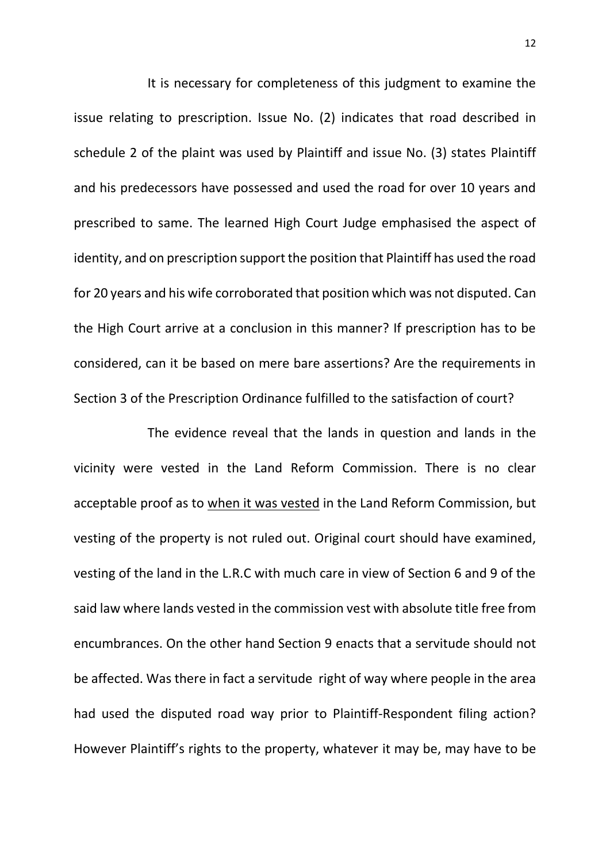It is necessary for completeness of this judgment to examine the issue relating to prescription. Issue No. (2) indicates that road described in schedule 2 of the plaint was used by Plaintiff and issue No. (3) states Plaintiff and his predecessors have possessed and used the road for over 10 years and prescribed to same. The learned High Court Judge emphasised the aspect of identity, and on prescription support the position that Plaintiff has used the road for 20 years and his wife corroborated that position which was not disputed. Can the High Court arrive at a conclusion in this manner? If prescription has to be considered, can it be based on mere bare assertions? Are the requirements in Section 3 of the Prescription Ordinance fulfilled to the satisfaction of court?

The evidence reveal that the lands in question and lands in the vicinity were vested in the Land Reform Commission. There is no clear acceptable proof as to when it was vested in the Land Reform Commission, but vesting of the property is not ruled out. Original court should have examined, vesting of the land in the L.R.C with much care in view of Section 6 and 9 of the said law where lands vested in the commission vest with absolute title free from encumbrances. On the other hand Section 9 enacts that a servitude should not be affected. Was there in fact a servitude right of way where people in the area had used the disputed road way prior to Plaintiff-Respondent filing action? However Plaintiff's rights to the property, whatever it may be, may have to be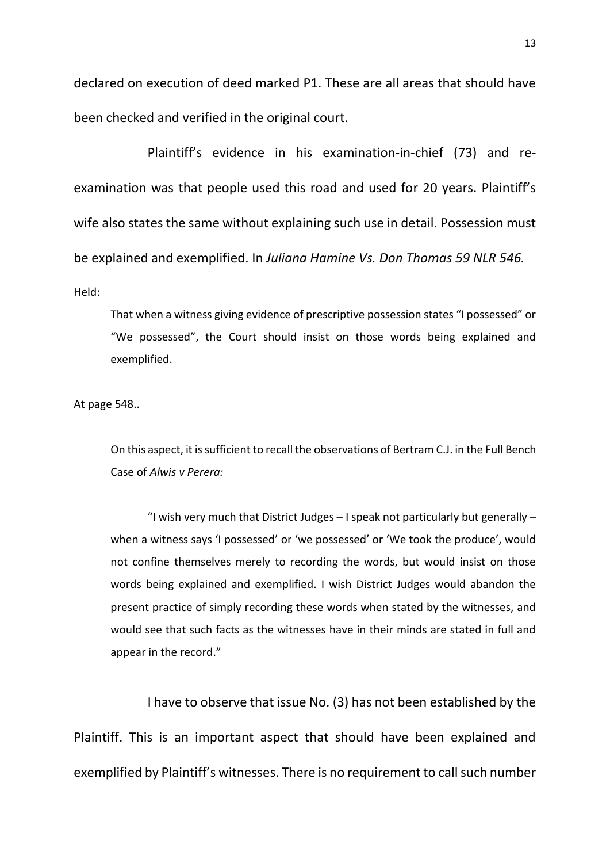declared on execution of deed marked P1. These are all areas that should have been checked and verified in the original court.

Plaintiff's evidence in his examination-in-chief (73) and reexamination was that people used this road and used for 20 years. Plaintiff's wife also states the same without explaining such use in detail. Possession must be explained and exemplified. In *Juliana Hamine Vs. Don Thomas 59 NLR 546.* Held:

That when a witness giving evidence of prescriptive possession states "I possessed" or "We possessed", the Court should insist on those words being explained and exemplified.

At page 548..

On this aspect, it is sufficient to recall the observations of Bertram C.J. in the Full Bench Case of *Alwis v Perera:*

"I wish very much that District Judges  $-1$  speak not particularly but generally  $$ when a witness says 'I possessed' or 'we possessed' or 'We took the produce', would not confine themselves merely to recording the words, but would insist on those words being explained and exemplified. I wish District Judges would abandon the present practice of simply recording these words when stated by the witnesses, and would see that such facts as the witnesses have in their minds are stated in full and appear in the record."

I have to observe that issue No. (3) has not been established by the Plaintiff. This is an important aspect that should have been explained and exemplified by Plaintiff's witnesses. There is no requirement to call such number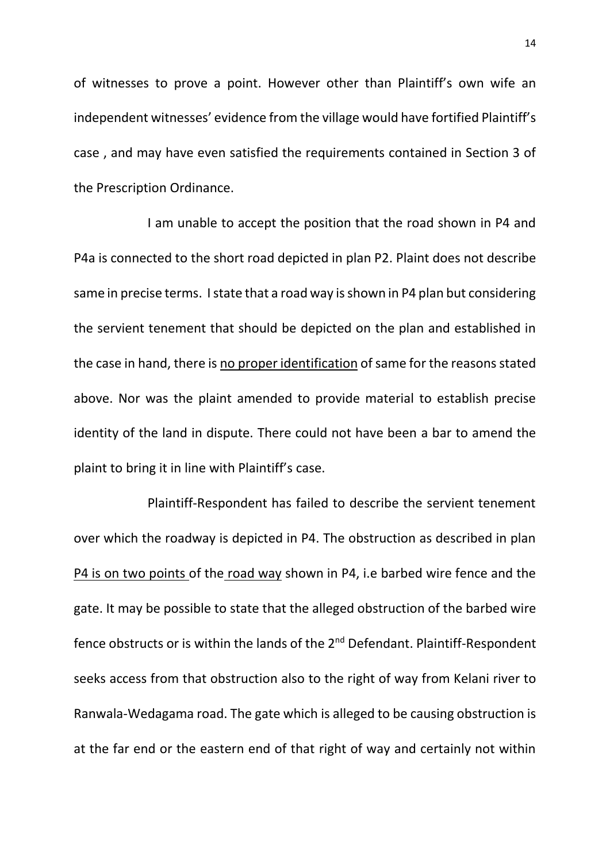of witnesses to prove a point. However other than Plaintiff's own wife an independent witnesses' evidence from the village would have fortified Plaintiff's case , and may have even satisfied the requirements contained in Section 3 of the Prescription Ordinance.

I am unable to accept the position that the road shown in P4 and P4a is connected to the short road depicted in plan P2. Plaint does not describe same in precise terms. I state that a road way is shown in P4 plan but considering the servient tenement that should be depicted on the plan and established in the case in hand, there is no proper identification of same for the reasons stated above. Nor was the plaint amended to provide material to establish precise identity of the land in dispute. There could not have been a bar to amend the plaint to bring it in line with Plaintiff's case.

Plaintiff-Respondent has failed to describe the servient tenement over which the roadway is depicted in P4. The obstruction as described in plan P4 is on two points of the road way shown in P4, i.e barbed wire fence and the gate. It may be possible to state that the alleged obstruction of the barbed wire fence obstructs or is within the lands of the 2<sup>nd</sup> Defendant. Plaintiff-Respondent seeks access from that obstruction also to the right of way from Kelani river to Ranwala-Wedagama road. The gate which is alleged to be causing obstruction is at the far end or the eastern end of that right of way and certainly not within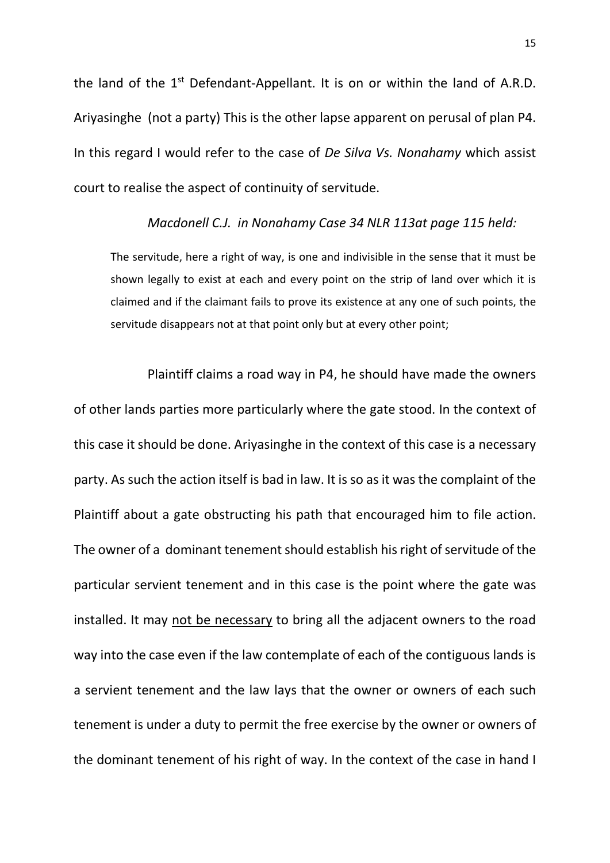the land of the  $1<sup>st</sup>$  Defendant-Appellant. It is on or within the land of A.R.D. Ariyasinghe (not a party) This is the other lapse apparent on perusal of plan P4. In this regard I would refer to the case of *De Silva Vs. Nonahamy* which assist court to realise the aspect of continuity of servitude.

### *Macdonell C.J. in Nonahamy Case 34 NLR 113at page 115 held:*

The servitude, here a right of way, is one and indivisible in the sense that it must be shown legally to exist at each and every point on the strip of land over which it is claimed and if the claimant fails to prove its existence at any one of such points, the servitude disappears not at that point only but at every other point;

Plaintiff claims a road way in P4, he should have made the owners of other lands parties more particularly where the gate stood. In the context of this case it should be done. Ariyasinghe in the context of this case is a necessary party. As such the action itself is bad in law. It is so as it was the complaint of the Plaintiff about a gate obstructing his path that encouraged him to file action. The owner of a dominant tenement should establish his right of servitude of the particular servient tenement and in this case is the point where the gate was installed. It may not be necessary to bring all the adjacent owners to the road way into the case even if the law contemplate of each of the contiguous lands is a servient tenement and the law lays that the owner or owners of each such tenement is under a duty to permit the free exercise by the owner or owners of the dominant tenement of his right of way. In the context of the case in hand I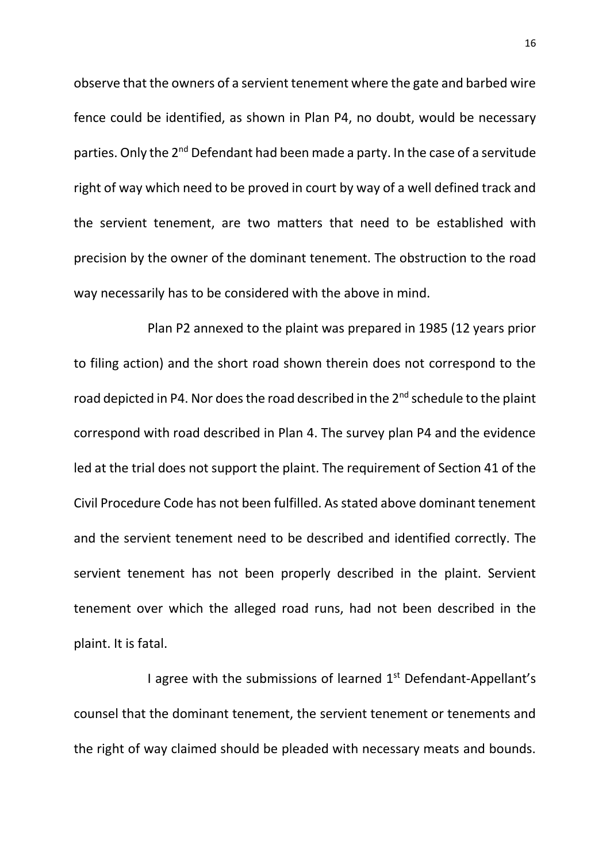observe that the owners of a servient tenement where the gate and barbed wire fence could be identified, as shown in Plan P4, no doubt, would be necessary parties. Only the 2<sup>nd</sup> Defendant had been made a party. In the case of a servitude right of way which need to be proved in court by way of a well defined track and the servient tenement, are two matters that need to be established with precision by the owner of the dominant tenement. The obstruction to the road way necessarily has to be considered with the above in mind.

Plan P2 annexed to the plaint was prepared in 1985 (12 years prior to filing action) and the short road shown therein does not correspond to the road depicted in P4. Nor does the road described in the 2<sup>nd</sup> schedule to the plaint correspond with road described in Plan 4. The survey plan P4 and the evidence led at the trial does not support the plaint. The requirement of Section 41 of the Civil Procedure Code has not been fulfilled. As stated above dominant tenement and the servient tenement need to be described and identified correctly. The servient tenement has not been properly described in the plaint. Servient tenement over which the alleged road runs, had not been described in the plaint. It is fatal.

I agree with the submissions of learned  $1<sup>st</sup>$  Defendant-Appellant's counsel that the dominant tenement, the servient tenement or tenements and the right of way claimed should be pleaded with necessary meats and bounds.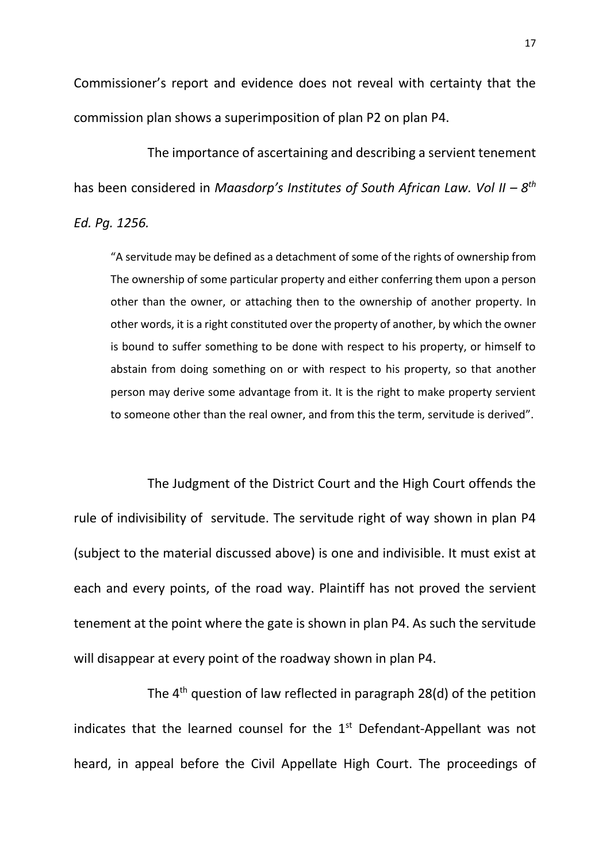Commissioner's report and evidence does not reveal with certainty that the commission plan shows a superimposition of plan P2 on plan P4.

The importance of ascertaining and describing a servient tenement has been considered in *Maasdorp's Institutes of South African Law. Vol II - 8<sup>th</sup> Ed. Pg. 1256.*

"A servitude may be defined as a detachment of some of the rights of ownership from The ownership of some particular property and either conferring them upon a person other than the owner, or attaching then to the ownership of another property. In other words, it is a right constituted over the property of another, by which the owner is bound to suffer something to be done with respect to his property, or himself to abstain from doing something on or with respect to his property, so that another person may derive some advantage from it. It is the right to make property servient to someone other than the real owner, and from this the term, servitude is derived".

The Judgment of the District Court and the High Court offends the rule of indivisibility of servitude. The servitude right of way shown in plan P4 (subject to the material discussed above) is one and indivisible. It must exist at each and every points, of the road way. Plaintiff has not proved the servient tenement at the point where the gate is shown in plan P4. As such the servitude will disappear at every point of the roadway shown in plan P4.

The 4<sup>th</sup> question of law reflected in paragraph 28(d) of the petition indicates that the learned counsel for the  $1<sup>st</sup>$  Defendant-Appellant was not heard, in appeal before the Civil Appellate High Court. The proceedings of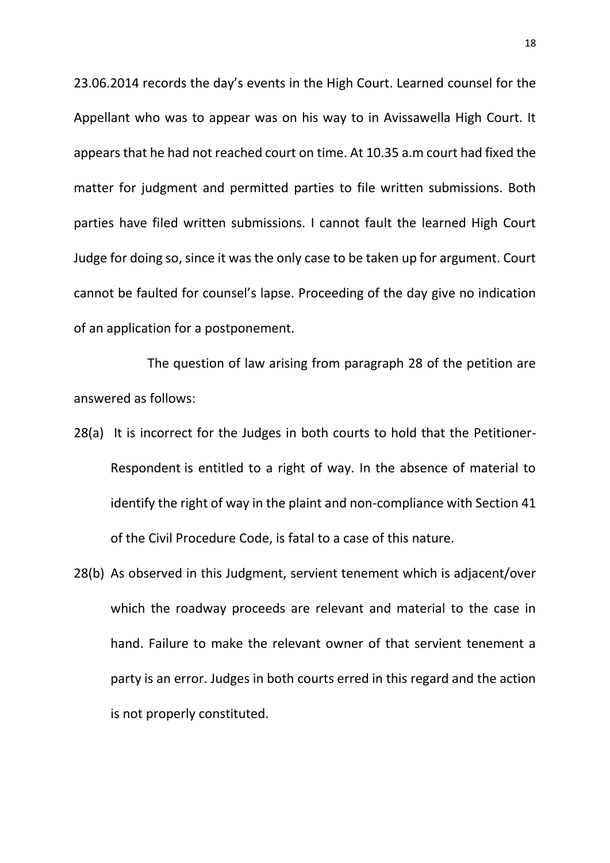23.06.2014 records the day's events in the High Court. Learned counsel for the Appellant who was to appear was on his way to in Avissawella High Court. It appears that he had not reached court on time. At 10.35 a.m court had fixed the matter for judgment and permitted parties to file written submissions. Both parties have filed written submissions. I cannot fault the learned High Court Judge for doing so, since it was the only case to be taken up for argument. Court cannot be faulted for counsel's lapse. Proceeding of the day give no indication of an application for a postponement.

The question of law arising from paragraph 28 of the petition are answered as follows:

- 28(a) It is incorrect for the Judges in both courts to hold that the Petitioner-Respondent is entitled to a right of way. In the absence of material to identify the right of way in the plaint and non-compliance with Section 41 of the Civil Procedure Code, is fatal to a case of this nature.
- 28(b) As observed in this Judgment, servient tenement which is adjacent/over which the roadway proceeds are relevant and material to the case in hand. Failure to make the relevant owner of that servient tenement a party is an error. Judges in both courts erred in this regard and the action is not properly constituted.